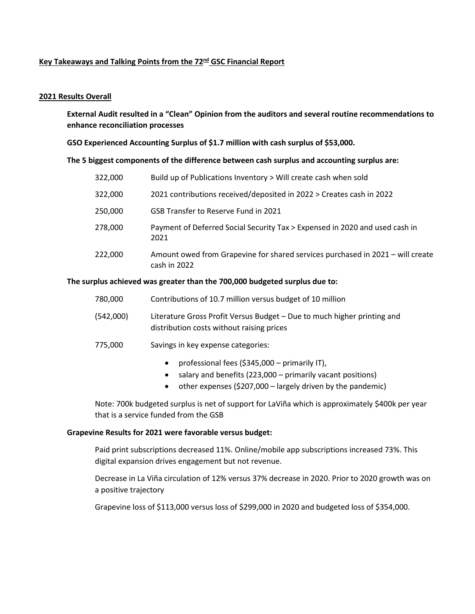# **Key Takeaways and Talking Points from the 72nd GSC Financial Report**

## **2021 Results Overall**

**External Audit resulted in a "Clean" Opinion from the auditors and several routine recommendations to enhance reconciliation processes**

## **GSO Experienced Accounting Surplus of \$1.7 million with cash surplus of \$53,000.**

### **The 5 biggest components of the difference between cash surplus and accounting surplus are:**

| 322,000 | Build up of Publications Inventory > Will create cash when sold                                |
|---------|------------------------------------------------------------------------------------------------|
| 322,000 | 2021 contributions received/deposited in 2022 > Creates cash in 2022                           |
| 250,000 | GSB Transfer to Reserve Fund in 2021                                                           |
| 278,000 | Payment of Deferred Social Security Tax > Expensed in 2020 and used cash in<br>2021            |
| 222,000 | Amount owed from Grapevine for shared services purchased in 2021 – will create<br>cash in 2022 |

### **The surplus achieved was greater than the 700,000 budgeted surplus due to:**

| 780,000   | Contributions of 10.7 million versus budget of 10 million                                                            |
|-----------|----------------------------------------------------------------------------------------------------------------------|
| (542,000) | Literature Gross Profit Versus Budget – Due to much higher printing and<br>distribution costs without raising prices |

# 775,000 Savings in key expense categories:

- professional fees (\$345,000 primarily IT),
- salary and benefits (223,000 primarily vacant positions)
- other expenses (\$207,000 largely driven by the pandemic)

Note: 700k budgeted surplus is net of support for LaViña which is approximately \$400k per year that is a service funded from the GSB

### **Grapevine Results for 2021 were favorable versus budget:**

Paid print subscriptions decreased 11%. Online/mobile app subscriptions increased 73%. This digital expansion drives engagement but not revenue.

Decrease in La Viña circulation of 12% versus 37% decrease in 2020. Prior to 2020 growth was on a positive trajectory

Grapevine loss of \$113,000 versus loss of \$299,000 in 2020 and budgeted loss of \$354,000.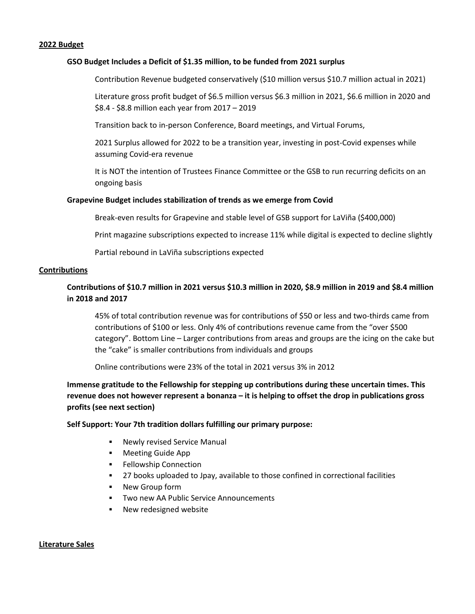#### **2022 Budget**

#### **GSO Budget Includes a Deficit of \$1.35 million, to be funded from 2021 surplus**

Contribution Revenue budgeted conservatively (\$10 million versus \$10.7 million actual in 2021)

Literature gross profit budget of \$6.5 million versus \$6.3 million in 2021, \$6.6 million in 2020 and \$8.4 - \$8.8 million each year from 2017 – 2019

Transition back to in-person Conference, Board meetings, and Virtual Forums,

2021 Surplus allowed for 2022 to be a transition year, investing in post-Covid expenses while assuming Covid-era revenue

It is NOT the intention of Trustees Finance Committee or the GSB to run recurring deficits on an ongoing basis

#### **Grapevine Budget includes stabilization of trends as we emerge from Covid**

Break-even results for Grapevine and stable level of GSB support for LaViña (\$400,000)

Print magazine subscriptions expected to increase 11% while digital is expected to decline slightly

Partial rebound in LaViña subscriptions expected

#### **Contributions**

# **Contributions of \$10.7 million in 2021 versus \$10.3 million in 2020, \$8.9 million in 2019 and \$8.4 million in 2018 and 2017**

45% of total contribution revenue was for contributions of \$50 or less and two-thirds came from contributions of \$100 or less. Only 4% of contributions revenue came from the "over \$500 category". Bottom Line – Larger contributions from areas and groups are the icing on the cake but the "cake" is smaller contributions from individuals and groups

Online contributions were 23% of the total in 2021 versus 3% in 2012

**Immense gratitude to the Fellowship for stepping up contributions during these uncertain times. This revenue does not however represent a bonanza – it is helping to offset the drop in publications gross profits (see next section)**

#### **Self Support: Your 7th tradition dollars fulfilling our primary purpose:**

- **Newly revised Service Manual**
- **Meeting Guide App**
- **Fellowship Connection**
- 27 books uploaded to Jpay, available to those confined in correctional facilities
- **New Group form**
- **Two new AA Public Service Announcements**
- **New redesigned website**

#### **Literature Sales**